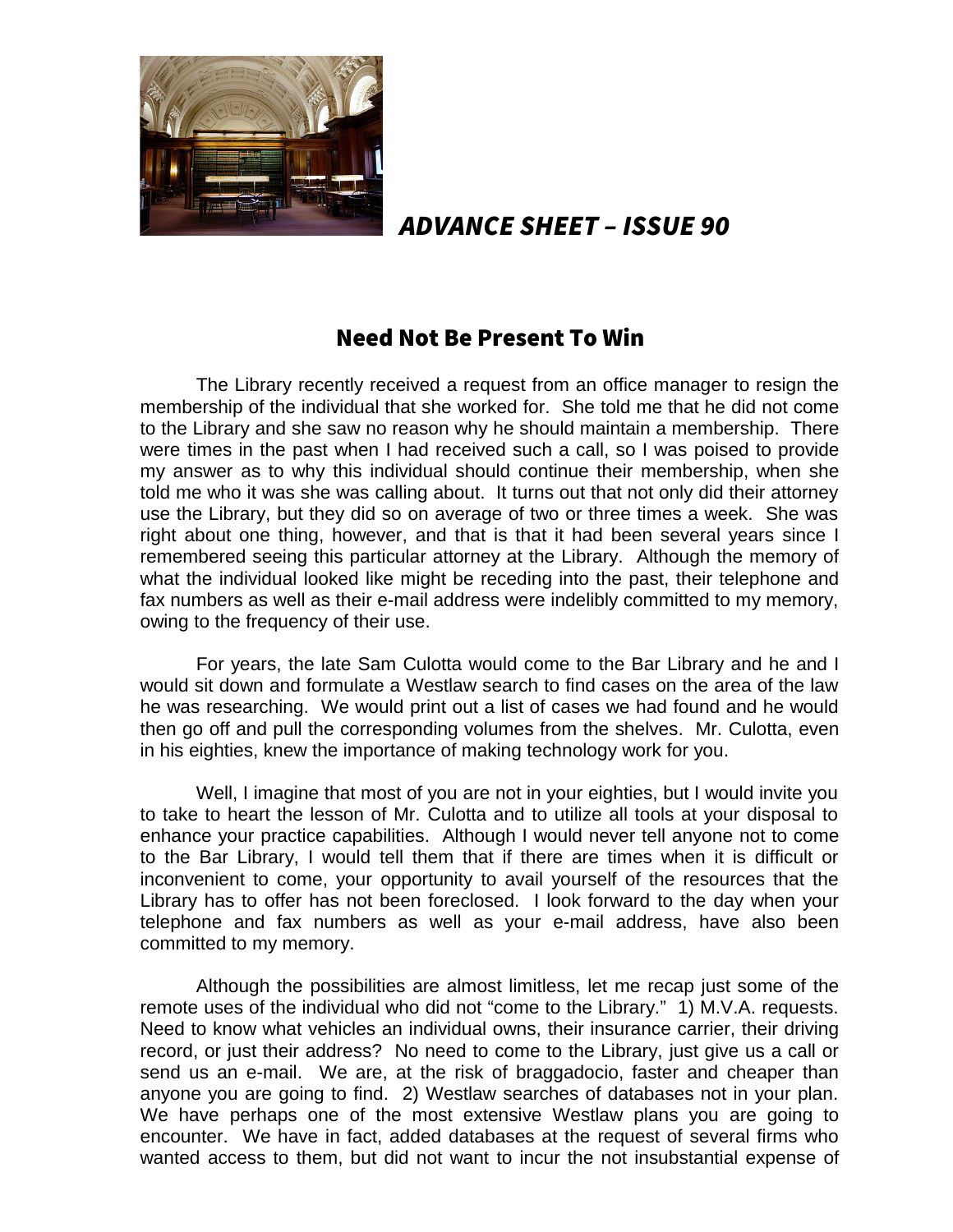

## ADVANCE SHEET – ISSUE 90

## Need Not Be Present To Win

The Library recently received a request from an office manager to resign the membership of the individual that she worked for. She told me that he did not come to the Library and she saw no reason why he should maintain a membership. There were times in the past when I had received such a call, so I was poised to provide my answer as to why this individual should continue their membership, when she told me who it was she was calling about. It turns out that not only did their attorney use the Library, but they did so on average of two or three times a week. She was right about one thing, however, and that is that it had been several years since I remembered seeing this particular attorney at the Library. Although the memory of what the individual looked like might be receding into the past, their telephone and fax numbers as well as their e-mail address were indelibly committed to my memory, owing to the frequency of their use.

For years, the late Sam Culotta would come to the Bar Library and he and I would sit down and formulate a Westlaw search to find cases on the area of the law he was researching. We would print out a list of cases we had found and he would then go off and pull the corresponding volumes from the shelves. Mr. Culotta, even in his eighties, knew the importance of making technology work for you.

Well, I imagine that most of you are not in your eighties, but I would invite you to take to heart the lesson of Mr. Culotta and to utilize all tools at your disposal to enhance your practice capabilities. Although I would never tell anyone not to come to the Bar Library, I would tell them that if there are times when it is difficult or inconvenient to come, your opportunity to avail yourself of the resources that the Library has to offer has not been foreclosed. I look forward to the day when your telephone and fax numbers as well as your e-mail address, have also been committed to my memory.

Although the possibilities are almost limitless, let me recap just some of the remote uses of the individual who did not "come to the Library." 1) M.V.A. requests. Need to know what vehicles an individual owns, their insurance carrier, their driving record, or just their address? No need to come to the Library, just give us a call or send us an e-mail. We are, at the risk of braggadocio, faster and cheaper than anyone you are going to find. 2) Westlaw searches of databases not in your plan. We have perhaps one of the most extensive Westlaw plans you are going to encounter. We have in fact, added databases at the request of several firms who wanted access to them, but did not want to incur the not insubstantial expense of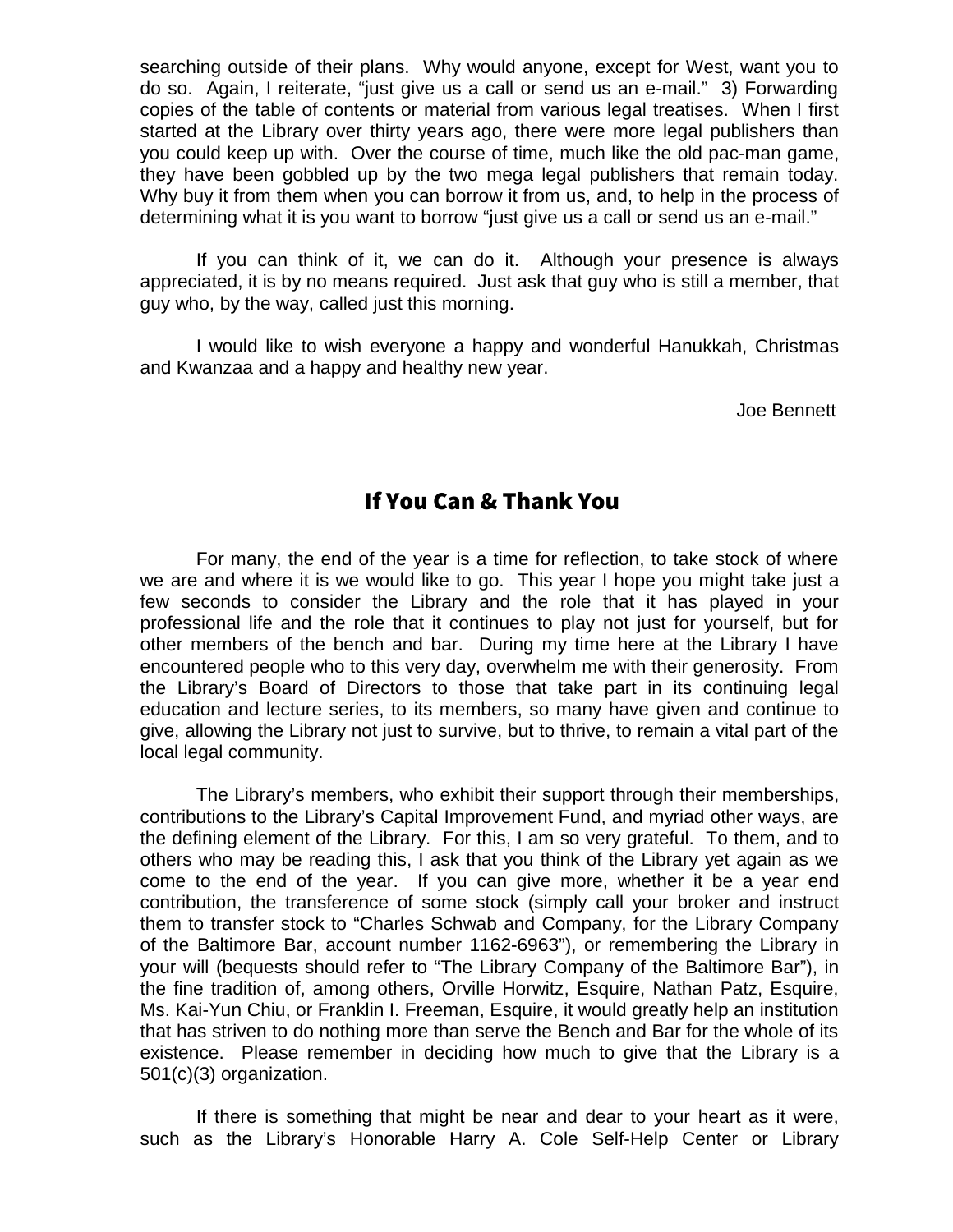searching outside of their plans. Why would anyone, except for West, want you to do so. Again, I reiterate, "just give us a call or send us an e-mail." 3) Forwarding copies of the table of contents or material from various legal treatises. When I first started at the Library over thirty years ago, there were more legal publishers than you could keep up with. Over the course of time, much like the old pac-man game, they have been gobbled up by the two mega legal publishers that remain today. Why buy it from them when you can borrow it from us, and, to help in the process of determining what it is you want to borrow "just give us a call or send us an e-mail."

If you can think of it, we can do it. Although your presence is always appreciated, it is by no means required. Just ask that guy who is still a member, that guy who, by the way, called just this morning.

I would like to wish everyone a happy and wonderful Hanukkah, Christmas and Kwanzaa and a happy and healthy new year.

Joe Bennett

### If You Can & Thank You

For many, the end of the year is a time for reflection, to take stock of where we are and where it is we would like to go. This year I hope you might take just a few seconds to consider the Library and the role that it has played in your professional life and the role that it continues to play not just for yourself, but for other members of the bench and bar. During my time here at the Library I have encountered people who to this very day, overwhelm me with their generosity. From the Library's Board of Directors to those that take part in its continuing legal education and lecture series, to its members, so many have given and continue to give, allowing the Library not just to survive, but to thrive, to remain a vital part of the local legal community.

The Library's members, who exhibit their support through their memberships, contributions to the Library's Capital Improvement Fund, and myriad other ways, are the defining element of the Library. For this, I am so very grateful. To them, and to others who may be reading this, I ask that you think of the Library yet again as we come to the end of the year. If you can give more, whether it be a year end contribution, the transference of some stock (simply call your broker and instruct them to transfer stock to "Charles Schwab and Company, for the Library Company of the Baltimore Bar, account number 1162-6963"), or remembering the Library in your will (bequests should refer to "The Library Company of the Baltimore Bar"), in the fine tradition of, among others, Orville Horwitz, Esquire, Nathan Patz, Esquire, Ms. Kai-Yun Chiu, or Franklin I. Freeman, Esquire, it would greatly help an institution that has striven to do nothing more than serve the Bench and Bar for the whole of its existence. Please remember in deciding how much to give that the Library is a 501(c)(3) organization.

 If there is something that might be near and dear to your heart as it were, such as the Library's Honorable Harry A. Cole Self-Help Center or Library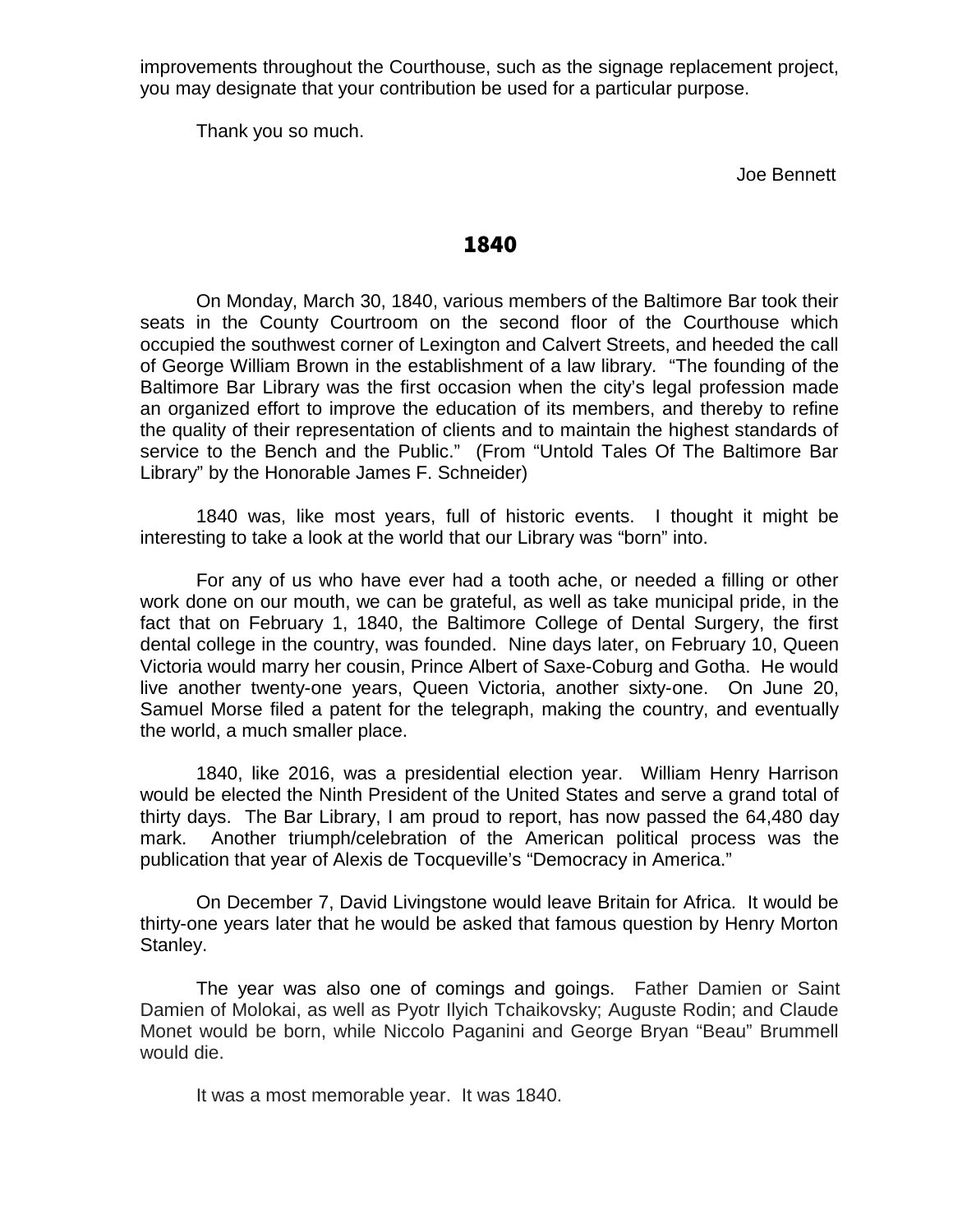improvements throughout the Courthouse, such as the signage replacement project, you may designate that your contribution be used for a particular purpose.

Thank you so much.

Joe Bennett

#### 1840

On Monday, March 30, 1840, various members of the Baltimore Bar took their seats in the County Courtroom on the second floor of the Courthouse which occupied the southwest corner of Lexington and Calvert Streets, and heeded the call of George William Brown in the establishment of a law library. "The founding of the Baltimore Bar Library was the first occasion when the city's legal profession made an organized effort to improve the education of its members, and thereby to refine the quality of their representation of clients and to maintain the highest standards of service to the Bench and the Public." (From "Untold Tales Of The Baltimore Bar Library" by the Honorable James F. Schneider)

1840 was, like most years, full of historic events. I thought it might be interesting to take a look at the world that our Library was "born" into.

For any of us who have ever had a tooth ache, or needed a filling or other work done on our mouth, we can be grateful, as well as take municipal pride, in the fact that on February 1, 1840, the Baltimore College of Dental Surgery, the first dental college in the country, was founded. Nine days later, on February 10, Queen Victoria would marry her cousin, Prince Albert of Saxe-Coburg and Gotha. He would live another twenty-one years, Queen Victoria, another sixty-one. On June 20, Samuel Morse filed a patent for the telegraph, making the country, and eventually the world, a much smaller place.

1840, like 2016, was a presidential election year. William Henry Harrison would be elected the Ninth President of the United States and serve a grand total of thirty days. The Bar Library, I am proud to report, has now passed the 64,480 day mark. Another triumph/celebration of the American political process was the publication that year of Alexis de Tocqueville's "Democracy in America."

On December 7, David Livingstone would leave Britain for Africa. It would be thirty-one years later that he would be asked that famous question by Henry Morton Stanley.

The year was also one of comings and goings. Father Damien or Saint Damien of Molokai, as well as Pyotr Ilyich Tchaikovsky; Auguste Rodin; and Claude Monet would be born, while Niccolo Paganini and George Bryan "Beau" Brummell would die.

It was a most memorable year. It was 1840.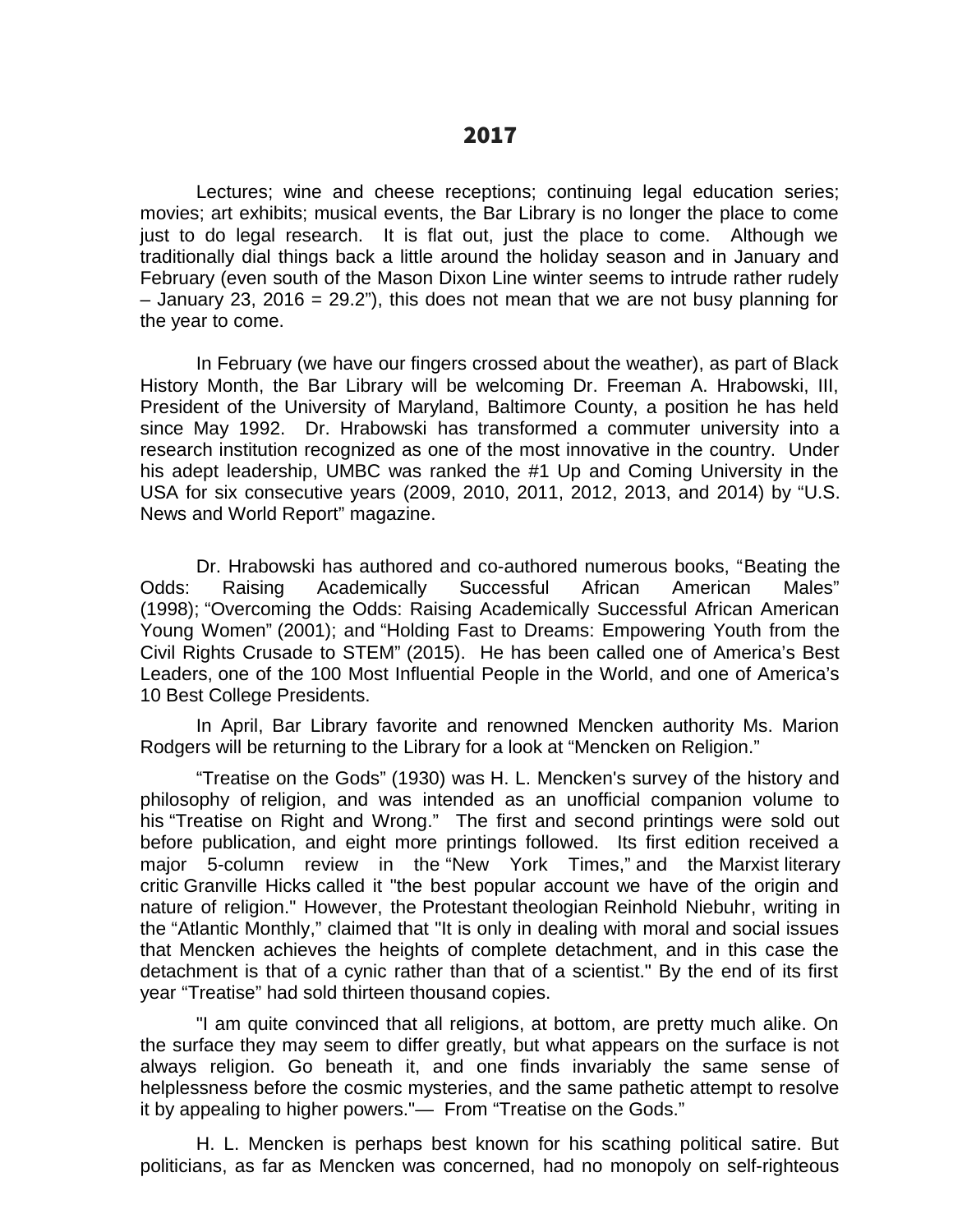Lectures; wine and cheese receptions; continuing legal education series; movies; art exhibits; musical events, the Bar Library is no longer the place to come just to do legal research. It is flat out, just the place to come. Although we traditionally dial things back a little around the holiday season and in January and February (even south of the Mason Dixon Line winter seems to intrude rather rudely  $-$  January 23, 2016 = 29.2"), this does not mean that we are not busy planning for the year to come.

In February (we have our fingers crossed about the weather), as part of Black History Month, the Bar Library will be welcoming Dr. Freeman A. Hrabowski, III, President of the University of Maryland, Baltimore County, a position he has held since May 1992. Dr. Hrabowski has transformed a commuter university into a research institution recognized as one of the most innovative in the country. Under his adept leadership, UMBC was ranked the #1 Up and Coming University in the USA for six consecutive years (2009, 2010, 2011, 2012, 2013, and 2014) by ["U.S.](https://en.wikipedia.org/wiki/U.S._News_and_World_Report) [News and World Report"](https://en.wikipedia.org/wiki/U.S._News_and_World_Report) magazine.

Dr. Hrabowski has authored and co-authored numerous books, "Beating the Odds: Raising Academically Successful African American Males" (1998); "Overcoming the Odds: Raising Academically Successful African American Young Women" (2001); and "Holding Fast to Dreams: Empowering Youth from the Civil Rights Crusade to STEM" (2015). He has been called one of America's Best Leaders, one of the 100 Most Influential People in the World, and one of America's 10 Best College Presidents.

In April, Bar Library favorite and renowned Mencken authority Ms. Marion Rodgers will be returning to the Library for a look at "Mencken on Religion."

"Treatise on the Gods" (1930) was [H. L. Mencken'](https://en.wikipedia.org/wiki/H._L._Mencken)s survey of the history and philosophy of [religion,](https://en.wikipedia.org/wiki/Religion) and was intended as an unofficial companion volume to his ["Treatise on Right and Wrong.](https://en.wikipedia.org/w/index.php?title=Treatise_on_Right_and_Wrong&action=edit&redlink=1)" The first and second printings were sold out before publication, and eight more printings followed. Its first edition received a major 5-column review in the ["New York Times,](https://en.wikipedia.org/wiki/New_York_Times)" and the [Marxist](https://en.wikipedia.org/wiki/Marxism) literary critic [Granville Hicks](https://en.wikipedia.org/wiki/Granville_Hicks) called it "the best popular account we have of the origin and nature of religion." However, the [Protestant](https://en.wikipedia.org/wiki/Protestantism) theologian [Reinhold Niebuhr,](https://en.wikipedia.org/wiki/Reinhold_Niebuhr) writing in the ["Atlantic Monthly,](https://en.wikipedia.org/wiki/Atlantic_Monthly)" claimed that "It is only in dealing with moral and social issues that Mencken achieves the heights of complete detachment, and in this case the detachment is that of a cynic rather than that of a scientist." By the end of its first year "Treatise" had sold thirteen thousand copies.

"I am quite convinced that all religions, at bottom, are pretty much alike. On the surface they may seem to differ greatly, but what appears on the surface is not always religion. Go beneath it, and one finds invariably the same sense of helplessness before the cosmic mysteries, and the same pathetic attempt to resolve it by appealing to higher powers."― From "Treatise on the Gods."

H. L. Mencken is perhaps best known for his scathing political satire. But politicians, as far as Mencken was concerned, had no monopoly on self-righteous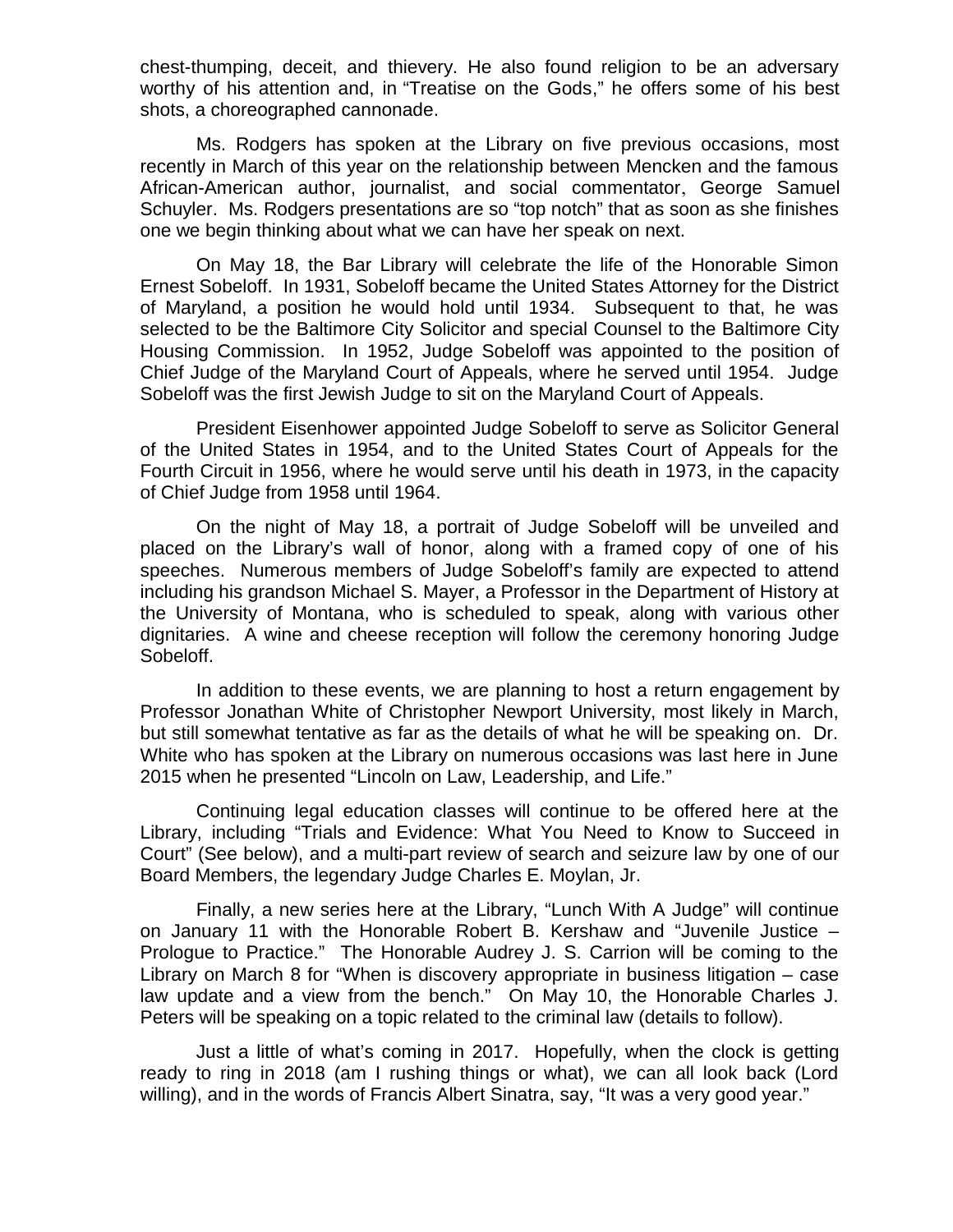chest-thumping, deceit, and thievery. He also found religion to be an adversary worthy of his attention and, in "Treatise on the Gods," he offers some of his best shots, a choreographed cannonade.

Ms. Rodgers has spoken at the Library on five previous occasions, most recently in March of this year on the relationship between Mencken and the famous African-American author, journalist, and social commentator, George Samuel Schuyler. Ms. Rodgers presentations are so "top notch" that as soon as she finishes one we begin thinking about what we can have her speak on next.

On May 18, the Bar Library will celebrate the life of the Honorable Simon Ernest Sobeloff. In 1931, Sobeloff became the United States Attorney for the District of Maryland, a position he would hold until 1934. Subsequent to that, he was selected to be the Baltimore City Solicitor and special Counsel to the Baltimore City Housing Commission. In 1952, Judge Sobeloff was appointed to the position of Chief Judge of the Maryland Court of Appeals, where he served until 1954. Judge Sobeloff was the first Jewish Judge to sit on the Maryland Court of Appeals.

President Eisenhower appointed Judge Sobeloff to serve as Solicitor General of the United States in 1954, and to the United States Court of Appeals for the Fourth Circuit in 1956, where he would serve until his death in 1973, in the capacity of Chief Judge from 1958 until 1964.

On the night of May 18, a portrait of Judge Sobeloff will be unveiled and placed on the Library's wall of honor, along with a framed copy of one of his speeches. Numerous members of Judge Sobeloff's family are expected to attend including his grandson Michael S. Mayer, a Professor in the Department of History at the University of Montana, who is scheduled to speak, along with various other dignitaries. A wine and cheese reception will follow the ceremony honoring Judge Sobeloff.

In addition to these events, we are planning to host a return engagement by Professor Jonathan White of Christopher Newport University, most likely in March, but still somewhat tentative as far as the details of what he will be speaking on. Dr. White who has spoken at the Library on numerous occasions was last here in June 2015 when he presented "Lincoln on Law, Leadership, and Life."

Continuing legal education classes will continue to be offered here at the Library, including "Trials and Evidence: What You Need to Know to Succeed in Court" (See below), and a multi-part review of search and seizure law by one of our Board Members, the legendary Judge Charles E. Moylan, Jr.

Finally, a new series here at the Library, "Lunch With A Judge" will continue on January 11 with the Honorable Robert B. Kershaw and "Juvenile Justice – Prologue to Practice." The Honorable Audrey J. S. Carrion will be coming to the Library on March 8 for "When is discovery appropriate in business litigation – case law update and a view from the bench." On May 10, the Honorable Charles J. Peters will be speaking on a topic related to the criminal law (details to follow).

Just a little of what's coming in 2017. Hopefully, when the clock is getting ready to ring in 2018 (am I rushing things or what), we can all look back (Lord willing), and in the words of Francis Albert Sinatra, say, "It was a very good year."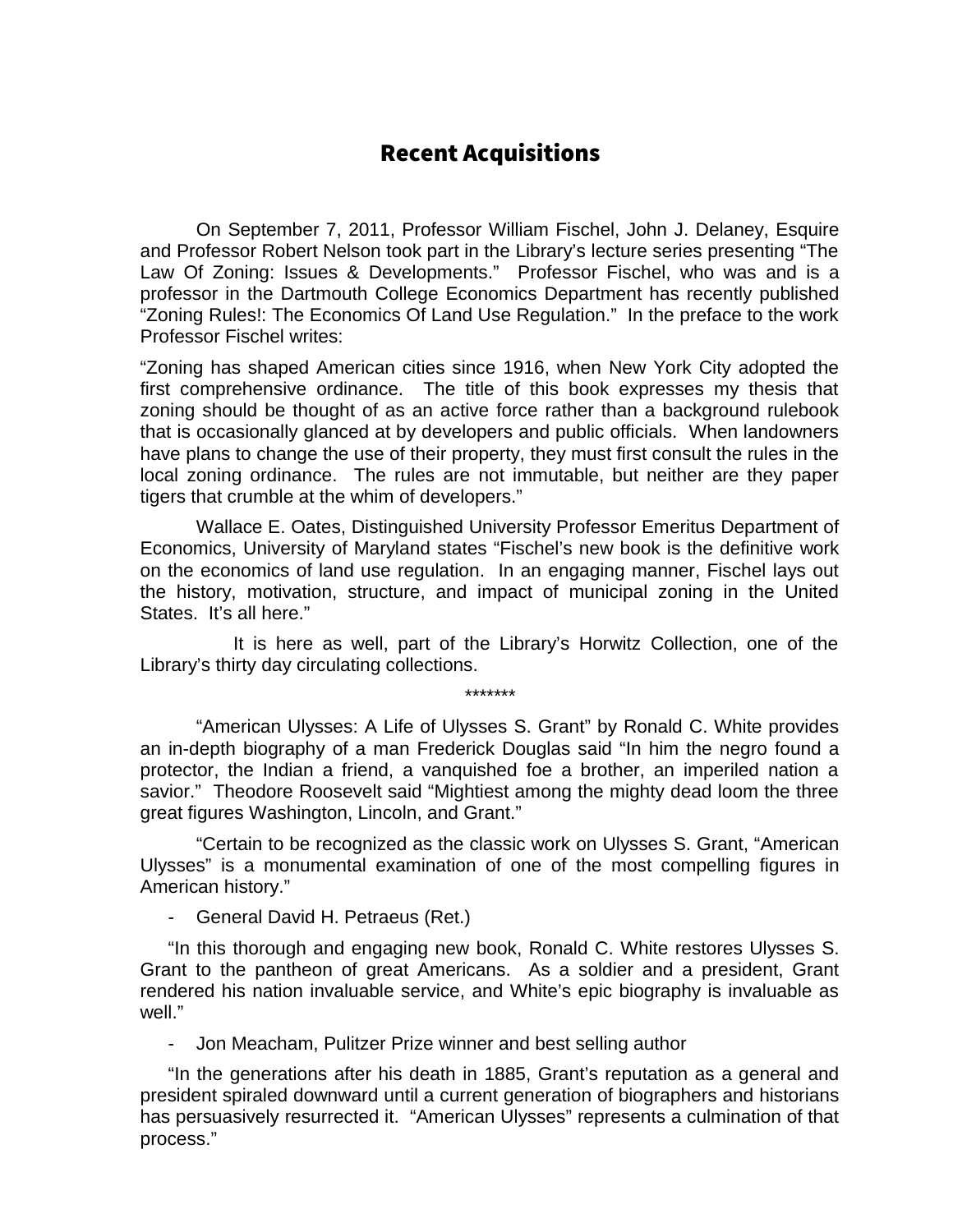## Recent Acquisitions

On September 7, 2011, Professor William Fischel, John J. Delaney, Esquire and Professor Robert Nelson took part in the Library's lecture series presenting "The Law Of Zoning: Issues & Developments." Professor Fischel, who was and is a professor in the Dartmouth College Economics Department has recently published "Zoning Rules!: The Economics Of Land Use Regulation." In the preface to the work Professor Fischel writes:

"Zoning has shaped American cities since 1916, when New York City adopted the first comprehensive ordinance. The title of this book expresses my thesis that zoning should be thought of as an active force rather than a background rulebook that is occasionally glanced at by developers and public officials. When landowners have plans to change the use of their property, they must first consult the rules in the local zoning ordinance. The rules are not immutable, but neither are they paper tigers that crumble at the whim of developers."

Wallace E. Oates, Distinguished University Professor Emeritus Department of Economics, University of Maryland states "Fischel's new book is the definitive work on the economics of land use regulation. In an engaging manner, Fischel lays out the history, motivation, structure, and impact of municipal zoning in the United States. It's all here."

 It is here as well, part of the Library's Horwitz Collection, one of the Library's thirty day circulating collections.

\*\*\*\*\*\*\*

"American Ulysses: A Life of Ulysses S. Grant" by Ronald C. White provides an in-depth biography of a man Frederick Douglas said "In him the negro found a protector, the Indian a friend, a vanquished foe a brother, an imperiled nation a savior." Theodore Roosevelt said "Mightiest among the mighty dead loom the three great figures Washington, Lincoln, and Grant."

"Certain to be recognized as the classic work on Ulysses S. Grant, "American Ulysses" is a monumental examination of one of the most compelling figures in American history."

- General David H. Petraeus (Ret.)

"In this thorough and engaging new book, Ronald C. White restores Ulysses S. Grant to the pantheon of great Americans. As a soldier and a president, Grant rendered his nation invaluable service, and White's epic biography is invaluable as well."

- Jon Meacham, Pulitzer Prize winner and best selling author

"In the generations after his death in 1885, Grant's reputation as a general and president spiraled downward until a current generation of biographers and historians has persuasively resurrected it. "American Ulysses" represents a culmination of that process."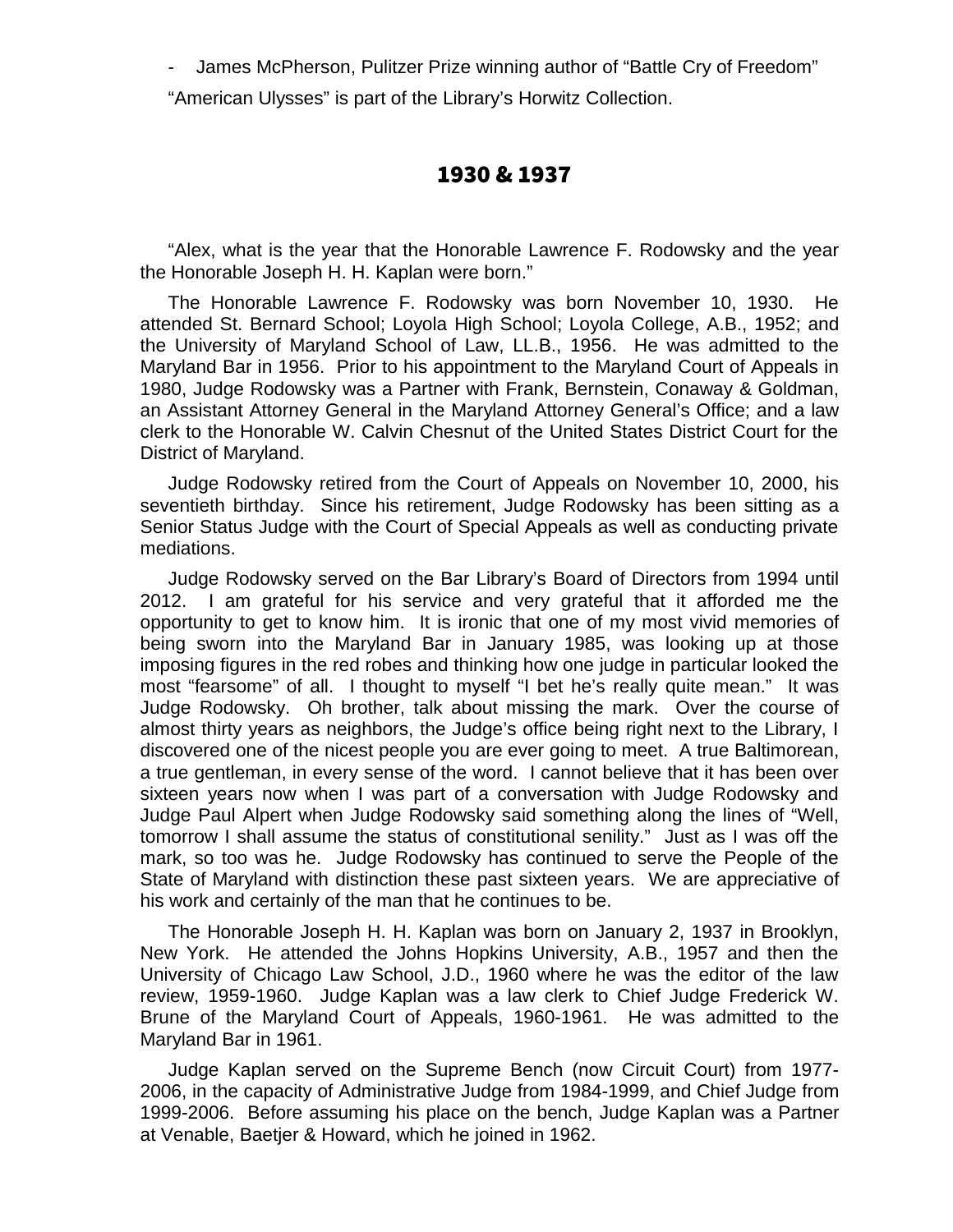- James McPherson, Pulitzer Prize winning author of "Battle Cry of Freedom" "American Ulysses" is part of the Library's Horwitz Collection.

#### 1930 & 1937

"Alex, what is the year that the Honorable Lawrence F. Rodowsky and the year the Honorable Joseph H. H. Kaplan were born."

The Honorable Lawrence F. Rodowsky was born November 10, 1930. He attended St. Bernard School; Loyola High School; Loyola College, A.B., 1952; and the University of Maryland School of Law, LL.B., 1956. He was admitted to the Maryland Bar in 1956. Prior to his appointment to the Maryland Court of Appeals in 1980, Judge Rodowsky was a Partner with Frank, Bernstein, Conaway & Goldman, an Assistant Attorney General in the Maryland Attorney General's Office; and a law clerk to the Honorable W. Calvin Chesnut of the United States District Court for the District of Maryland.

Judge Rodowsky retired from the Court of Appeals on November 10, 2000, his seventieth birthday. Since his retirement, Judge Rodowsky has been sitting as a Senior Status Judge with the Court of Special Appeals as well as conducting private mediations.

Judge Rodowsky served on the Bar Library's Board of Directors from 1994 until 2012. I am grateful for his service and very grateful that it afforded me the opportunity to get to know him. It is ironic that one of my most vivid memories of being sworn into the Maryland Bar in January 1985, was looking up at those imposing figures in the red robes and thinking how one judge in particular looked the most "fearsome" of all. I thought to myself "I bet he's really quite mean." It was Judge Rodowsky. Oh brother, talk about missing the mark. Over the course of almost thirty years as neighbors, the Judge's office being right next to the Library, I discovered one of the nicest people you are ever going to meet. A true Baltimorean, a true gentleman, in every sense of the word. I cannot believe that it has been over sixteen years now when I was part of a conversation with Judge Rodowsky and Judge Paul Alpert when Judge Rodowsky said something along the lines of "Well, tomorrow I shall assume the status of constitutional senility." Just as I was off the mark, so too was he. Judge Rodowsky has continued to serve the People of the State of Maryland with distinction these past sixteen years. We are appreciative of his work and certainly of the man that he continues to be.

The Honorable Joseph H. H. Kaplan was born on January 2, 1937 in Brooklyn, New York. He attended the Johns Hopkins University, A.B., 1957 and then the University of Chicago Law School, J.D., 1960 where he was the editor of the law review, 1959-1960. Judge Kaplan was a law clerk to Chief Judge Frederick W. Brune of the Maryland Court of Appeals, 1960-1961. He was admitted to the Maryland Bar in 1961.

Judge Kaplan served on the Supreme Bench (now Circuit Court) from 1977- 2006, in the capacity of Administrative Judge from 1984-1999, and Chief Judge from 1999-2006. Before assuming his place on the bench, Judge Kaplan was a Partner at Venable, Baetjer & Howard, which he joined in 1962.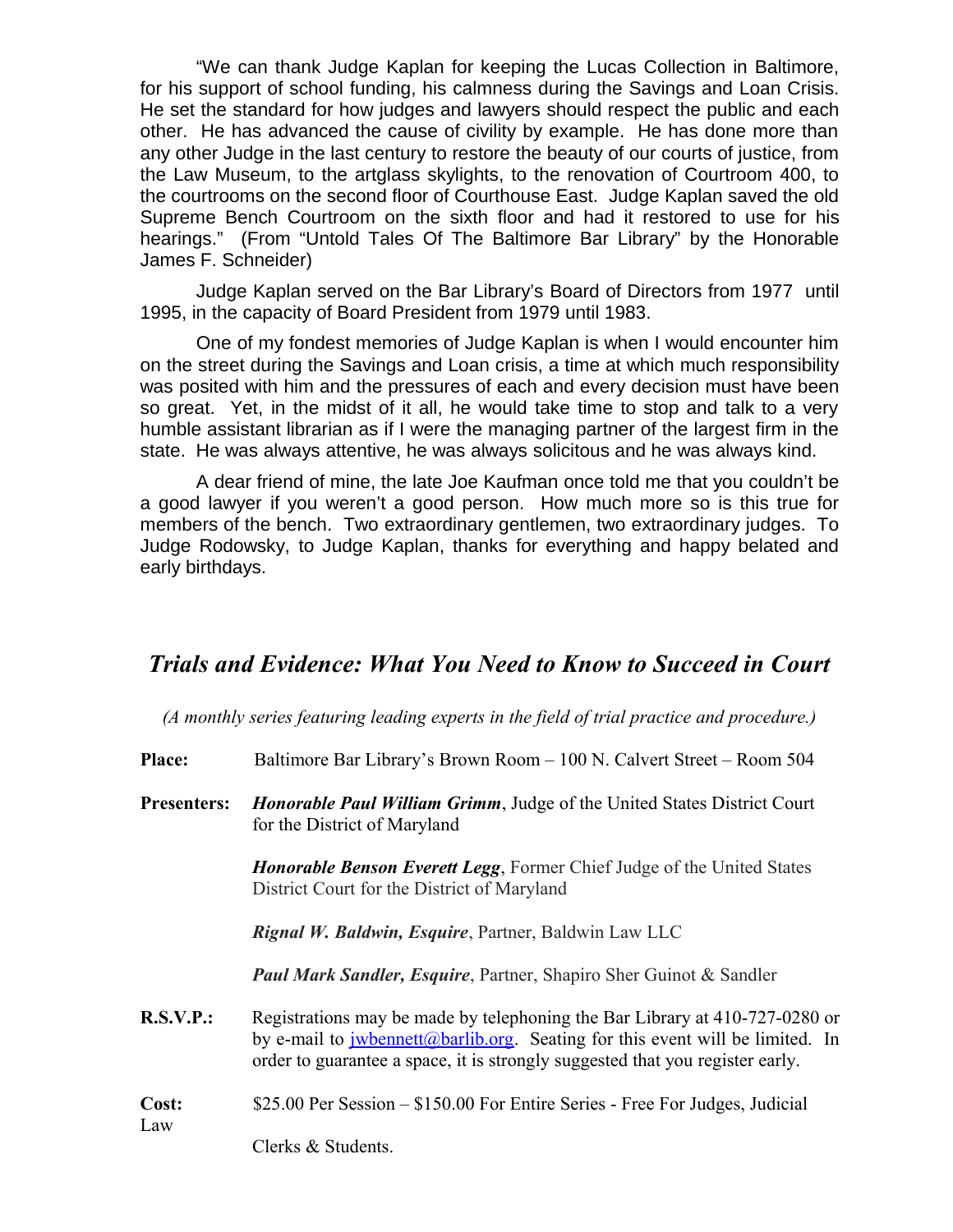"We can thank Judge Kaplan for keeping the Lucas Collection in Baltimore, for his support of school funding, his calmness during the Savings and Loan Crisis. He set the standard for how judges and lawyers should respect the public and each other. He has advanced the cause of civility by example. He has done more than any other Judge in the last century to restore the beauty of our courts of justice, from the Law Museum, to the artglass skylights, to the renovation of Courtroom 400, to the courtrooms on the second floor of Courthouse East. Judge Kaplan saved the old Supreme Bench Courtroom on the sixth floor and had it restored to use for his hearings." (From "Untold Tales Of The Baltimore Bar Library" by the Honorable James F. Schneider)

Judge Kaplan served on the Bar Library's Board of Directors from 1977 until 1995, in the capacity of Board President from 1979 until 1983.

One of my fondest memories of Judge Kaplan is when I would encounter him on the street during the Savings and Loan crisis, a time at which much responsibility was posited with him and the pressures of each and every decision must have been so great. Yet, in the midst of it all, he would take time to stop and talk to a very humble assistant librarian as if I were the managing partner of the largest firm in the state. He was always attentive, he was always solicitous and he was always kind.

A dear friend of mine, the late Joe Kaufman once told me that you couldn't be a good lawyer if you weren't a good person. How much more so is this true for members of the bench. Two extraordinary gentlemen, two extraordinary judges. To Judge Rodowsky, to Judge Kaplan, thanks for everything and happy belated and early birthdays.

#### *Trials and Evidence: What You Need to Know to Succeed in Court*

*(A monthly series featuring leading experts in the field of trial practice and procedure.)*

- Place: Baltimore Bar Library's Brown Room 100 N. Calvert Street Room 504
- **Presenters:** *Honorable Paul William Grimm*, Judge of the United States District Court for the District of Maryland

*Honorable Benson Everett Legg*, Former Chief Judge of the United States District Court for the District of Maryland

*Rignal W. Baldwin, Esquire*, Partner, Baldwin Law LLC

*Paul Mark Sandler, Esquire*, Partner, Shapiro Sher Guinot & Sandler

**R.S.V.P.:** Registrations may be made by telephoning the Bar Library at 410-727-0280 or by e-mail to [jwbennett@barlib.org.](mailto:jwbennett@barlib.org) Seating for this event will be limited. In order to guarantee a space, it is strongly suggested that you register early.

#### **Cost:** \$25.00 Per Session – \$150.00 For Entire Series - Free For Judges, Judicial

Clerks & Students.

Law